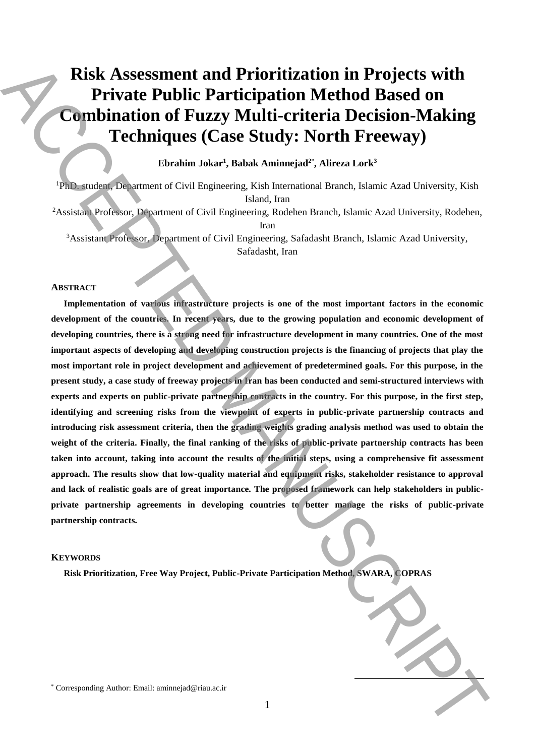# **Risk Assessment and Prioritization in Projects with Private Public Participation Method Based on Combination of Fuzzy Multi-criteria Decision-Making Techniques (Case Study: North Freeway)**

# **Ebrahim Jokar<sup>1</sup> , Babak Aminnejad<sup>2</sup>**\* **, Alireza Lork<sup>3</sup>**

<sup>1</sup>PhD. student, Department of Civil Engineering, Kish International Branch, Islamic Azad University, Kish Island, Iran

<sup>2</sup>Assistant Professor, Department of Civil Engineering, Rodehen Branch, Islamic Azad University, Rodehen, Iran

<sup>3</sup>Assistant Professor, Department of Civil Engineering, Safadasht Branch, Islamic Azad University, Safadasht, Iran

#### **ABSTRACT**

**Implementation of various infrastructure projects is one of the most important factors in the economic development of the countries. In recent years, due to the growing population and economic development of developing countries, there is a strong need for infrastructure development in many countries. One of the most important aspects of developing and developing construction projects is the financing of projects that play the most important role in project development and achievement of predetermined goals. For this purpose, in the present study, a case study of freeway projects in Iran has been conducted and semi-structured interviews with experts and experts on public-private partnership contracts in the country. For this purpose, in the first step, identifying and screening risks from the viewpoint of experts in public-private partnership contracts and introducing risk assessment criteria, then the grading weights grading analysis method was used to obtain the weight of the criteria. Finally, the final ranking of the risks of public-private partnership contracts has been taken into account, taking into account the results of the initial steps, using a comprehensive fit assessment approach. The results show that low-quality material and equipment risks, stakeholder resistance to approval and lack of realistic goals are of great importance. The proposed framework can help stakeholders in publicprivate partnership agreements in developing countries to better manage the risks of public-private partnership contracts. EXISE ASSESSMED and Prioritization in Projects with Comparison (Comparison of Fuzzy Multi-criteria Decision Anking Comparison (Comparison of Comparison and Comparison and Comparison and Comparison and Comparison and Comp** 

# **KEYWORDS**

**Risk Prioritization, Free Way Project, Public-Private Participation Method, SWARA, COPRAS**

**.**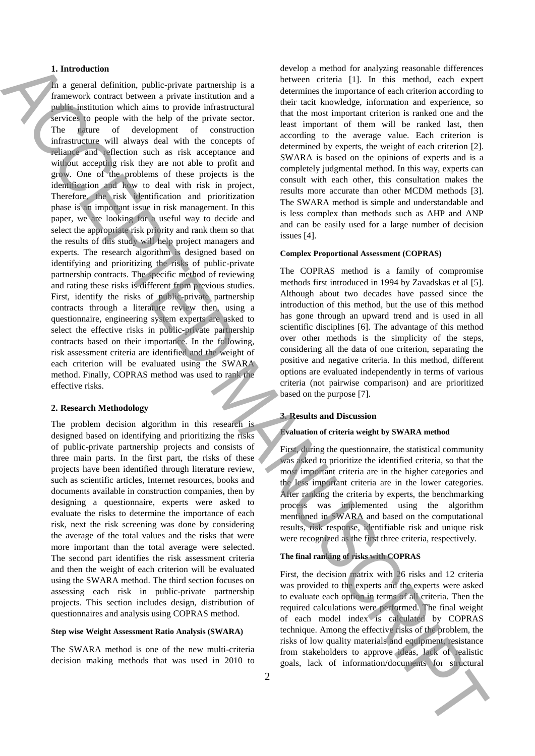# **1. Introduction**

In a general definition, public-private partnership is a framework contract between a private institution and a public institution which aims to provide infrastructural services to people with the help of the private sector. The nature of development of construction infrastructure will always deal with the concepts of reliance and reflection such as risk acceptance and without accepting risk they are not able to profit and grow. One of the problems of these projects is the identification and how to deal with risk in project, Therefore, the risk identification and prioritization phase is an important issue in risk management. In this paper, we are looking for a useful way to decide and select the appropriate risk priority and rank them so that the results of this study will help project managers and experts. The research algorithm is designed based on identifying and prioritizing the risks of public-private partnership contracts. The specific method of reviewing and rating these risks is different from previous studies. First, identify the risks of public-private partnership contracts through a literature review then, using a questionnaire, engineering system experts are asked to select the effective risks in public-private partnership contracts based on their importance. In the following, risk assessment criteria are identified and the weight of each criterion will be evaluated using the SWARA method. Finally, COPRAS method was used to rank the effective risks. **1.** Interaction of the interaction of the interaction of the interaction of the interaction of the interaction of interaction interaction in the interaction of the interaction interaction in the interaction of the intera

# **2. Research Methodology**

The problem decision algorithm in this research is designed based on identifying and prioritizing the risks of public-private partnership projects and consists of three main parts. In the first part, the risks of these projects have been identified through literature review, such as scientific articles, Internet resources, books and documents available in construction companies, then by designing a questionnaire, experts were asked to evaluate the risks to determine the importance of each risk, next the risk screening was done by considering the average of the total values and the risks that were more important than the total average were selected. The second part identifies the risk assessment criteria and then the weight of each criterion will be evaluated using the SWARA method. The third section focuses on assessing each risk in public-private partnership projects. This section includes design, distribution of questionnaires and analysis using COPRAS method.

## **Step wise Weight Assessment Ratio Analysis (SWARA)**

The SWARA method is one of the new multi-criteria decision making methods that was used in 2010 to develop a method for analyzing reasonable differences between criteria [1]. In this method, each expert determines the importance of each criterion according to their tacit knowledge, information and experience, so that the most important criterion is ranked one and the least important of them will be ranked last, then according to the average value. Each criterion is determined by experts, the weight of each criterion [2]. SWARA is based on the opinions of experts and is a completely judgmental method. In this way, experts can consult with each other, this consultation makes the results more accurate than other MCDM methods [3]. The SWARA method is simple and understandable and is less complex than methods such as AHP and ANP and can be easily used for a large number of decision issues [4].

#### **Complex Proportional Assessment (COPRAS)**

The COPRAS method is a family of compromise methods first introduced in 1994 by Zavadskas et al [5]. Although about two decades have passed since the introduction of this method, but the use of this method has gone through an upward trend and is used in all scientific disciplines [6]. The advantage of this method over other methods is the simplicity of the steps, considering all the data of one criterion, separating the positive and negative criteria. In this method, different options are evaluated independently in terms of various criteria (not pairwise comparison) and are prioritized based on the purpose [7].

# **3. Results and Discussion**

# **Evaluation of criteria weight by SWARA method**

First, during the questionnaire, the statistical community was asked to prioritize the identified criteria, so that the most important criteria are in the higher categories and the less important criteria are in the lower categories. After ranking the criteria by experts, the benchmarking process was implemented using the algorithm mentioned in SWARA and based on the computational results, risk response, identifiable risk and unique risk were recognized as the first three criteria, respectively.

## **The final ranking of risks with COPRAS**

First, the decision matrix with 26 risks and 12 criteria was provided to the experts and the experts were asked to evaluate each option in terms of all criteria. Then the required calculations were performed. The final weight of each model index is calculated by COPRAS technique. Among the effective risks of the problem, the risks of low quality materials and equipment, resistance from stakeholders to approve ideas, lack of realistic